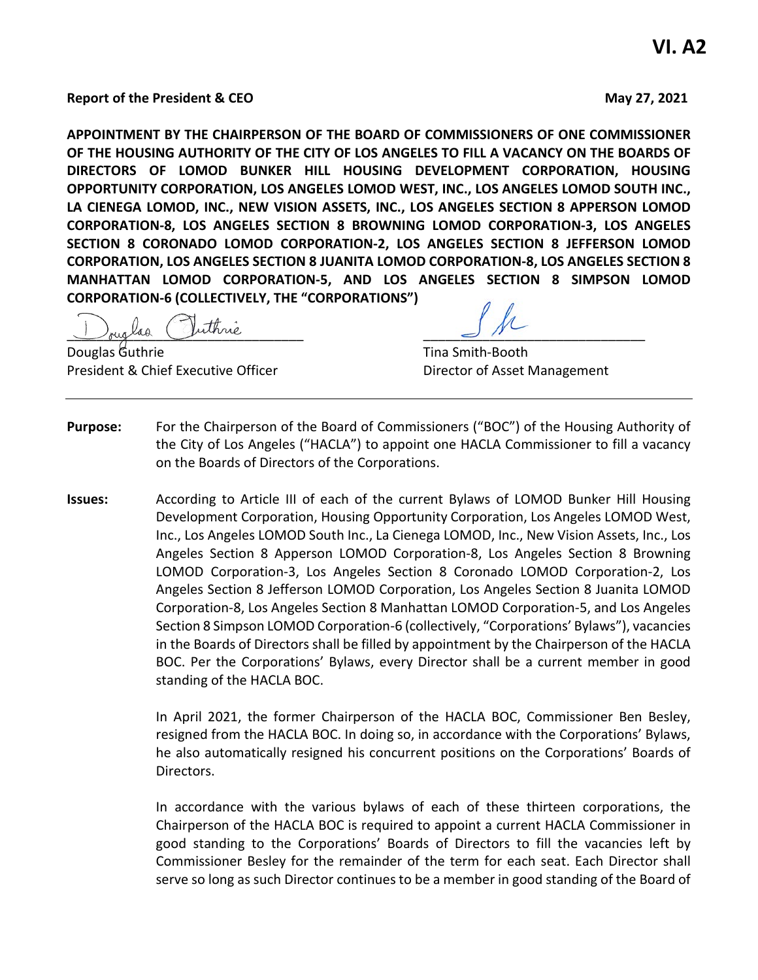**Report of the President & CEO May 27, 2021**

**APPOINTMENT BY THE CHAIRPERSON OF THE BOARD OF COMMISSIONERS OF ONE COMMISSIONER OF THE HOUSING AUTHORITY OF THE CITY OF LOS ANGELES TO FILL A VACANCY ON THE BOARDS OF DIRECTORS OF LOMOD BUNKER HILL HOUSING DEVELOPMENT CORPORATION, HOUSING OPPORTUNITY CORPORATION, LOS ANGELES LOMOD WEST, INC., LOS ANGELES LOMOD SOUTH INC., LA CIENEGA LOMOD, INC., NEW VISION ASSETS, INC., LOS ANGELES SECTION 8 APPERSON LOMOD CORPORATION-8, LOS ANGELES SECTION 8 BROWNING LOMOD CORPORATION-3, LOS ANGELES SECTION 8 CORONADO LOMOD CORPORATION-2, LOS ANGELES SECTION 8 JEFFERSON LOMOD CORPORATION, LOS ANGELES SECTION 8 JUANITA LOMOD CORPORATION-8, LOS ANGELES SECTION 8 MANHATTAN LOMOD CORPORATION-5, AND LOS ANGELES SECTION 8 SIMPSON LOMOD CORPORATION-6 (COLLECTIVELY, THE "CORPORATIONS")**

buglad Juinne

Douglas Guthrie Tina Smith-Booth President & Chief Executive Officer **Director of Asset Management** 

- **Purpose:** For the Chairperson of the Board of Commissioners ("BOC") of the Housing Authority of the City of Los Angeles ("HACLA") to appoint one HACLA Commissioner to fill a vacancy on the Boards of Directors of the Corporations.
- **Issues:** According to Article III of each of the current Bylaws of LOMOD Bunker Hill Housing Development Corporation, Housing Opportunity Corporation, Los Angeles LOMOD West, Inc., Los Angeles LOMOD South Inc., La Cienega LOMOD, Inc., New Vision Assets, Inc., Los Angeles Section 8 Apperson LOMOD Corporation-8, Los Angeles Section 8 Browning LOMOD Corporation-3, Los Angeles Section 8 Coronado LOMOD Corporation-2, Los Angeles Section 8 Jefferson LOMOD Corporation, Los Angeles Section 8 Juanita LOMOD Corporation-8, Los Angeles Section 8 Manhattan LOMOD Corporation-5, and Los Angeles Section 8 Simpson LOMOD Corporation-6 (collectively, "Corporations' Bylaws"), vacancies in the Boards of Directors shall be filled by appointment by the Chairperson of the HACLA BOC. Per the Corporations' Bylaws, every Director shall be a current member in good standing of the HACLA BOC.

In April 2021, the former Chairperson of the HACLA BOC, Commissioner Ben Besley, resigned from the HACLA BOC. In doing so, in accordance with the Corporations' Bylaws, he also automatically resigned his concurrent positions on the Corporations' Boards of Directors.

In accordance with the various bylaws of each of these thirteen corporations, the Chairperson of the HACLA BOC is required to appoint a current HACLA Commissioner in good standing to the Corporations' Boards of Directors to fill the vacancies left by Commissioner Besley for the remainder of the term for each seat. Each Director shall serve so long as such Director continues to be a member in good standing of the Board of